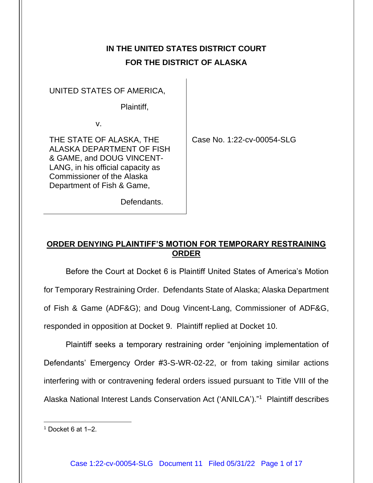# **IN THE UNITED STATES DISTRICT COURT FOR THE DISTRICT OF ALASKA**

### UNITED STATES OF AMERICA,

Plaintiff,

v.

THE STATE OF ALASKA, THE ALASKA DEPARTMENT OF FISH & GAME, and DOUG VINCENT-LANG, in his official capacity as Commissioner of the Alaska Department of Fish & Game,

Case No. 1:22-cv-00054-SLG

Defendants.

# **ORDER DENYING PLAINTIFF'S MOTION FOR TEMPORARY RESTRAINING ORDER**

Before the Court at Docket 6 is Plaintiff United States of America's Motion for Temporary Restraining Order. Defendants State of Alaska; Alaska Department of Fish & Game (ADF&G); and Doug Vincent-Lang, Commissioner of ADF&G, responded in opposition at Docket 9. Plaintiff replied at Docket 10.

Plaintiff seeks a temporary restraining order "enjoining implementation of Defendants' Emergency Order #3-S-WR-02-22, or from taking similar actions interfering with or contravening federal orders issued pursuant to Title VIII of the Alaska National Interest Lands Conservation Act ('ANILCA')."<sup>1</sup> Plaintiff describes

 $1$  Docket 6 at 1–2.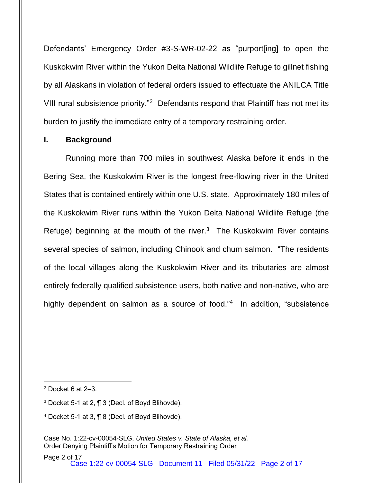Defendants' Emergency Order #3-S-WR-02-22 as "purport[ing] to open the Kuskokwim River within the Yukon Delta National Wildlife Refuge to gillnet fishing by all Alaskans in violation of federal orders issued to effectuate the ANILCA Title VIII rural subsistence priority."<sup>2</sup> Defendants respond that Plaintiff has not met its burden to justify the immediate entry of a temporary restraining order.

#### **I. Background**

Running more than 700 miles in southwest Alaska before it ends in the Bering Sea, the Kuskokwim River is the longest free-flowing river in the United States that is contained entirely within one U.S. state. Approximately 180 miles of the Kuskokwim River runs within the Yukon Delta National Wildlife Refuge (the Refuge) beginning at the mouth of the river. $3$  The Kuskokwim River contains several species of salmon, including Chinook and chum salmon. "The residents of the local villages along the Kuskokwim River and its tributaries are almost entirely federally qualified subsistence users, both native and non-native, who are highly dependent on salmon as a source of food."<sup>4</sup> In addition, "subsistence

- <sup>3</sup> Docket 5-1 at 2, ¶ 3 (Decl. of Boyd Blihovde).
- <sup>4</sup> Docket 5-1 at 3, ¶ 8 (Decl. of Boyd Blihovde).

 $2$  Docket 6 at 2-3.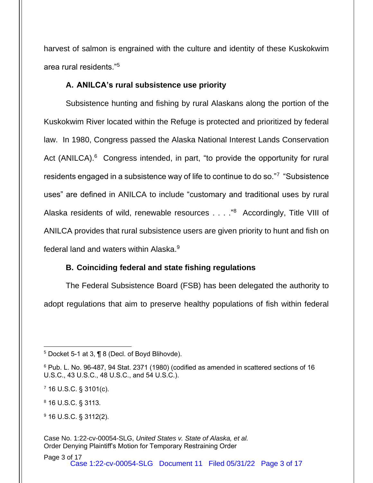harvest of salmon is engrained with the culture and identity of these Kuskokwim area rural residents."<sup>5</sup>

## **A. ANILCA's rural subsistence use priority**

Subsistence hunting and fishing by rural Alaskans along the portion of the Kuskokwim River located within the Refuge is protected and prioritized by federal law. In 1980, Congress passed the Alaska National Interest Lands Conservation Act (ANILCA).<sup>6</sup> Congress intended, in part, "to provide the opportunity for rural residents engaged in a subsistence way of life to continue to do so."7 "Subsistence uses" are defined in ANILCA to include "customary and traditional uses by rural Alaska residents of wild, renewable resources . . . . "<sup>8</sup> Accordingly, Title VIII of ANILCA provides that rural subsistence users are given priority to hunt and fish on federal land and waters within Alaska.<sup>9</sup>

## **B. Coinciding federal and state fishing regulations**

The Federal Subsistence Board (FSB) has been delegated the authority to adopt regulations that aim to preserve healthy populations of fish within federal

<sup>8</sup> 16 U.S.C. § 3113.

<sup>9</sup> 16 U.S.C. § 3112(2).

<sup>5</sup> Docket 5-1 at 3, ¶ 8 (Decl. of Boyd Blihovde).

<sup>6</sup> Pub. L. No. 96-487, 94 Stat. 2371 (1980) (codified as amended in scattered sections of 16 U.S.C., 43 U.S.C., 48 U.S.C., and 54 U.S.C.).

 $7$  16 U.S.C. § 3101(c).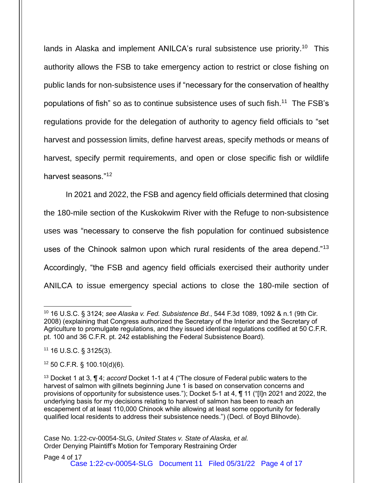lands in Alaska and implement ANILCA's rural subsistence use priority.<sup>10</sup> This authority allows the FSB to take emergency action to restrict or close fishing on public lands for non-subsistence uses if "necessary for the conservation of healthy populations of fish" so as to continue subsistence uses of such fish.<sup>11</sup> The FSB's regulations provide for the delegation of authority to agency field officials to "set harvest and possession limits, define harvest areas, specify methods or means of harvest, specify permit requirements, and open or close specific fish or wildlife harvest seasons."<sup>12</sup>

In 2021 and 2022, the FSB and agency field officials determined that closing the 180-mile section of the Kuskokwim River with the Refuge to non-subsistence uses was "necessary to conserve the fish population for continued subsistence uses of the Chinook salmon upon which rural residents of the area depend."<sup>13</sup> Accordingly, "the FSB and agency field officials exercised their authority under ANILCA to issue emergency special actions to close the 180-mile section of

 $12$  50 C.F.R. § 100.10(d)(6).

<sup>10</sup> 16 U.S.C. § 3124; *see Alaska v. Fed. Subsistence Bd.*, 544 F.3d 1089, 1092 & n.1 (9th Cir. 2008) (explaining that Congress authorized the Secretary of the Interior and the Secretary of Agriculture to promulgate regulations, and they issued identical regulations codified at 50 C.F.R. pt. 100 and 36 C.F.R. pt. 242 establishing the Federal Subsistence Board).

<sup>11</sup> 16 U.S.C. § 3125(3).

<sup>13</sup> Docket 1 at 3, ¶ 4; *accord* Docket 1-1 at 4 ("The closure of Federal public waters to the harvest of salmon with gillnets beginning June 1 is based on conservation concerns and provisions of opportunity for subsistence uses."); Docket 5-1 at 4, ¶ 11 ("[I]n 2021 and 2022, the underlying basis for my decisions relating to harvest of salmon has been to reach an escapement of at least 110,000 Chinook while allowing at least some opportunity for federally qualified local residents to address their subsistence needs.") (Decl. of Boyd Blihovde).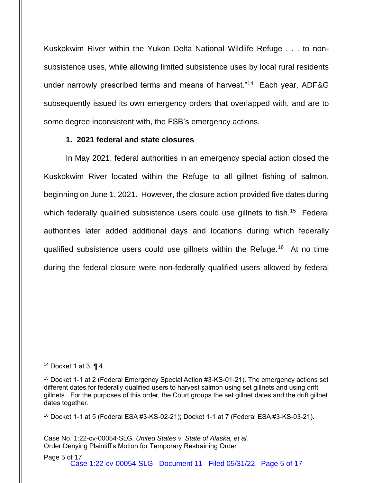Kuskokwim River within the Yukon Delta National Wildlife Refuge . . . to nonsubsistence uses, while allowing limited subsistence uses by local rural residents under narrowly prescribed terms and means of harvest."<sup>14</sup> Each year, ADF&G subsequently issued its own emergency orders that overlapped with, and are to some degree inconsistent with, the FSB's emergency actions.

### **1. 2021 federal and state closures**

In May 2021, federal authorities in an emergency special action closed the Kuskokwim River located within the Refuge to all gillnet fishing of salmon, beginning on June 1, 2021. However, the closure action provided five dates during which federally qualified subsistence users could use gillnets to fish.<sup>15</sup> Federal authorities later added additional days and locations during which federally qualified subsistence users could use gillnets within the Refuge.<sup>16</sup> At no time during the federal closure were non-federally qualified users allowed by federal

 $16$  Docket 1-1 at 5 (Federal ESA #3-KS-02-21); Docket 1-1 at 7 (Federal ESA #3-KS-03-21).

<sup>&</sup>lt;sup>14</sup> Docket 1 at 3,  $\P$  4.

<sup>&</sup>lt;sup>15</sup> Docket 1-1 at 2 (Federal Emergency Special Action #3-KS-01-21). The emergency actions set different dates for federally qualified users to harvest salmon using set gillnets and using drift gillnets. For the purposes of this order, the Court groups the set gillnet dates and the drift gillnet dates together.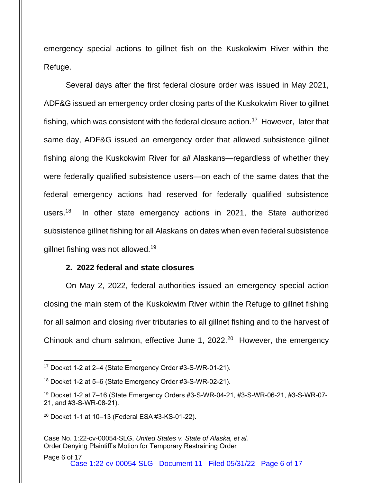emergency special actions to gillnet fish on the Kuskokwim River within the Refuge.

Several days after the first federal closure order was issued in May 2021, ADF&G issued an emergency order closing parts of the Kuskokwim River to gillnet fishing, which was consistent with the federal closure action.<sup>17</sup> However, later that same day, ADF&G issued an emergency order that allowed subsistence gillnet fishing along the Kuskokwim River for *all* Alaskans—regardless of whether they were federally qualified subsistence users—on each of the same dates that the federal emergency actions had reserved for federally qualified subsistence users. $18$ In other state emergency actions in 2021, the State authorized subsistence gillnet fishing for all Alaskans on dates when even federal subsistence gillnet fishing was not allowed.<sup>19</sup>

#### **2. 2022 federal and state closures**

On May 2, 2022, federal authorities issued an emergency special action closing the main stem of the Kuskokwim River within the Refuge to gillnet fishing for all salmon and closing river tributaries to all gillnet fishing and to the harvest of Chinook and chum salmon, effective June 1, 2022.<sup>20</sup> However, the emergency

<sup>17</sup> Docket 1-2 at 2–4 (State Emergency Order #3-S-WR-01-21).

<sup>18</sup> Docket 1-2 at 5–6 (State Emergency Order #3-S-WR-02-21).

<sup>19</sup> Docket 1-2 at 7–16 (State Emergency Orders #3-S-WR-04-21, #3-S-WR-06-21, #3-S-WR-07- 21, and #3-S-WR-08-21).

 $20$  Docket 1-1 at 10-13 (Federal ESA #3-KS-01-22).

Case No. 1:22-cv-00054-SLG, *United States v. State of Alaska, et al.* Order Denying Plaintiff's Motion for Temporary Restraining Order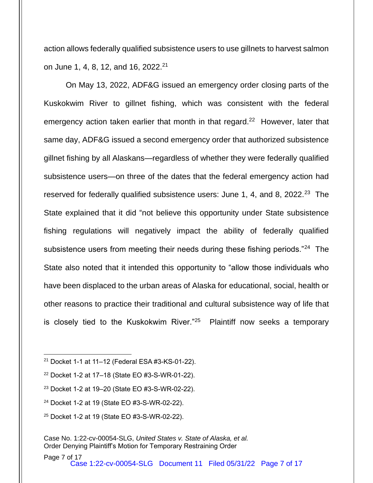action allows federally qualified subsistence users to use gillnets to harvest salmon on June 1, 4, 8, 12, and 16, 2022.<sup>21</sup>

On May 13, 2022, ADF&G issued an emergency order closing parts of the Kuskokwim River to gillnet fishing, which was consistent with the federal emergency action taken earlier that month in that regard.<sup>22</sup> However, later that same day, ADF&G issued a second emergency order that authorized subsistence gillnet fishing by all Alaskans—regardless of whether they were federally qualified subsistence users—on three of the dates that the federal emergency action had reserved for federally qualified subsistence users: June 1, 4, and 8, 2022.<sup>23</sup> The State explained that it did "not believe this opportunity under State subsistence fishing regulations will negatively impact the ability of federally qualified subsistence users from meeting their needs during these fishing periods."<sup>24</sup> The State also noted that it intended this opportunity to "allow those individuals who have been displaced to the urban areas of Alaska for educational, social, health or other reasons to practice their traditional and cultural subsistence way of life that is closely tied to the Kuskokwim River."<sup>25</sup> Plaintiff now seeks a temporary

<sup>25</sup> Docket 1-2 at 19 (State EO #3-S-WR-02-22).

<sup>21</sup> Docket 1-1 at 11–12 (Federal ESA #3-KS-01-22).

<sup>22</sup> Docket 1-2 at 17–18 (State EO #3-S-WR-01-22).

<sup>23</sup> Docket 1-2 at 19–20 (State EO #3-S-WR-02-22).

<sup>24</sup> Docket 1-2 at 19 (State EO #3-S-WR-02-22).

Case No. 1:22-cv-00054-SLG, *United States v. State of Alaska, et al.* Order Denying Plaintiff's Motion for Temporary Restraining Order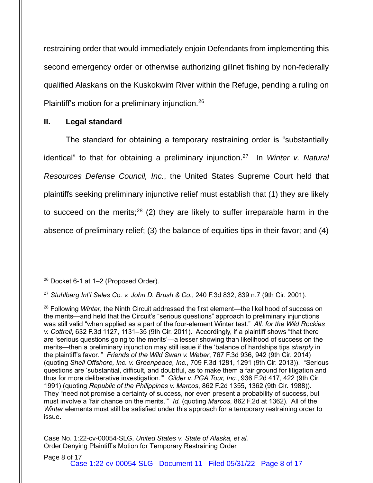restraining order that would immediately enjoin Defendants from implementing this second emergency order or otherwise authorizing gillnet fishing by non-federally qualified Alaskans on the Kuskokwim River within the Refuge, pending a ruling on Plaintiff's motion for a preliminary injunction.<sup>26</sup>

### **II. Legal standard**

The standard for obtaining a temporary restraining order is "substantially identical" to that for obtaining a preliminary injunction.<sup>27</sup> In *Winter v. Natural Resources Defense Council, Inc.*, the United States Supreme Court held that plaintiffs seeking preliminary injunctive relief must establish that (1) they are likely to succeed on the merits;<sup>28</sup> (2) they are likely to suffer irreparable harm in the absence of preliminary relief; (3) the balance of equities tips in their favor; and (4)

<sup>27</sup> *Stuhlbarg Int'l Sales Co. v. John D. Brush & Co.*, 240 F.3d 832, 839 n.7 (9th Cir. 2001).

<sup>26</sup> Docket 6-1 at 1–2 (Proposed Order).

<sup>28</sup> Following *Winter*, the Ninth Circuit addressed the first element—the likelihood of success on the merits—and held that the Circuit's "serious questions" approach to preliminary injunctions was still valid "when applied as a part of the four-element Winter test." *All. for the Wild Rockies v. Cottrell*, 632 F.3d 1127, 1131–35 (9th Cir. 2011). Accordingly, if a plaintiff shows "that there are 'serious questions going to the merits'—a lesser showing than likelihood of success on the merits—then a preliminary injunction may still issue if the 'balance of hardships tips *sharply* in the plaintiff's favor.'" *Friends of the Wild Swan v. Weber*, 767 F.3d 936, 942 (9th Cir. 2014) (quoting *Shell Offshore, Inc. v. Greenpeace, Inc.*, 709 F.3d 1281, 1291 (9th Cir. 2013)). "Serious questions are 'substantial, difficult, and doubtful, as to make them a fair ground for litigation and thus for more deliberative investigation.'" *Gilder v. PGA Tour, Inc.*, 936 F.2d 417, 422 (9th Cir. 1991) (quoting *Republic of the Philippines v. Marcos*, 862 F.2d 1355, 1362 (9th Cir. 1988)). They "need not promise a certainty of success, nor even present a probability of success, but must involve a 'fair chance on the merits.'" *Id.* (quoting *Marcos*, 862 F.2d at 1362). All of the *Winter* elements must still be satisfied under this approach for a temporary restraining order to issue.

Case No. 1:22-cv-00054-SLG, *United States v. State of Alaska, et al.* Order Denying Plaintiff's Motion for Temporary Restraining Order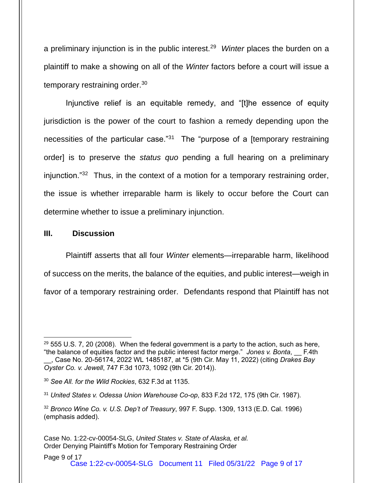a preliminary injunction is in the public interest.<sup>29</sup> Winter places the burden on a plaintiff to make a showing on all of the *Winter* factors before a court will issue a temporary restraining order.<sup>30</sup>

Injunctive relief is an equitable remedy, and "[t]he essence of equity jurisdiction is the power of the court to fashion a remedy depending upon the necessities of the particular case."<sup>31</sup> The "purpose of a [temporary restraining order] is to preserve the *status quo* pending a full hearing on a preliminary injunction."<sup>32</sup> Thus, in the context of a motion for a temporary restraining order, the issue is whether irreparable harm is likely to occur before the Court can determine whether to issue a preliminary injunction.

#### **III. Discussion**

Plaintiff asserts that all four *Winter* elements—irreparable harm, likelihood of success on the merits, the balance of the equities, and public interest—weigh in favor of a temporary restraining order. Defendants respond that Plaintiff has not

 $29$  555 U.S. 7, 20 (2008). When the federal government is a party to the action, such as here, "the balance of equities factor and the public interest factor merge." *Jones v. Bonta*, \_\_ F.4th \_\_, Case No. 20-56174, 2022 WL 1485187, at \*5 (9th Cir. May 11, 2022) (citing *Drakes Bay Oyster Co. v. Jewell*, 747 F.3d 1073, 1092 (9th Cir. 2014)).

<sup>30</sup> *See All. for the Wild Rockies*, 632 F.3d at 1135.

<sup>31</sup> *United States v. Odessa Union Warehouse Co-op*, 833 F.2d 172, 175 (9th Cir. 1987).

<sup>32</sup> *Bronco Wine Co. v. U.S. Dep't of Treasury*, 997 F. Supp. 1309, 1313 (E.D. Cal. 1996) (emphasis added).

Case No. 1:22-cv-00054-SLG, *United States v. State of Alaska, et al.* Order Denying Plaintiff's Motion for Temporary Restraining Order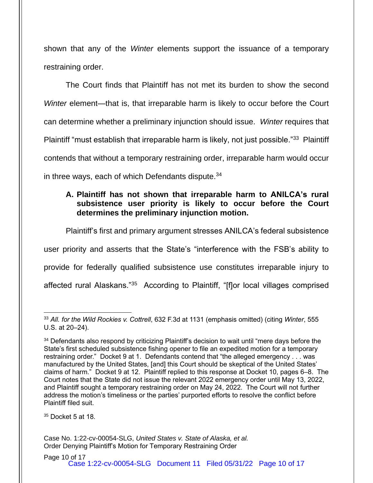shown that any of the *Winter* elements support the issuance of a temporary restraining order.

The Court finds that Plaintiff has not met its burden to show the second *Winter* element—that is, that irreparable harm is likely to occur before the Court can determine whether a preliminary injunction should issue. *Winter* requires that Plaintiff "must establish that irreparable harm is likely, not just possible."<sup>33</sup> Plaintiff contends that without a temporary restraining order, irreparable harm would occur in three ways, each of which Defendants dispute. 34

## **A. Plaintiff has not shown that irreparable harm to ANILCA's rural subsistence user priority is likely to occur before the Court determines the preliminary injunction motion.**

Plaintiff's first and primary argument stresses ANILCA's federal subsistence user priority and asserts that the State's "interference with the FSB's ability to provide for federally qualified subsistence use constitutes irreparable injury to affected rural Alaskans."<sup>35</sup> According to Plaintiff, "[f]or local villages comprised

 $35$  Docket 5 at 18.

<sup>33</sup> *All. for the Wild Rockies v. Cottrell*, 632 F.3d at 1131 (emphasis omitted) (citing *Winter*, 555 U.S. at 20–24).

<sup>&</sup>lt;sup>34</sup> Defendants also respond by criticizing Plaintiff's decision to wait until "mere days before the State's first scheduled subsistence fishing opener to file an expedited motion for a temporary restraining order." Docket 9 at 1. Defendants contend that "the alleged emergency . . . was manufactured by the United States, [and] this Court should be skeptical of the United States' claims of harm." Docket 9 at 12. Plaintiff replied to this response at Docket 10, pages 6–8. The Court notes that the State did not issue the relevant 2022 emergency order until May 13, 2022, and Plaintiff sought a temporary restraining order on May 24, 2022. The Court will not further address the motion's timeliness or the parties' purported efforts to resolve the conflict before Plaintiff filed suit.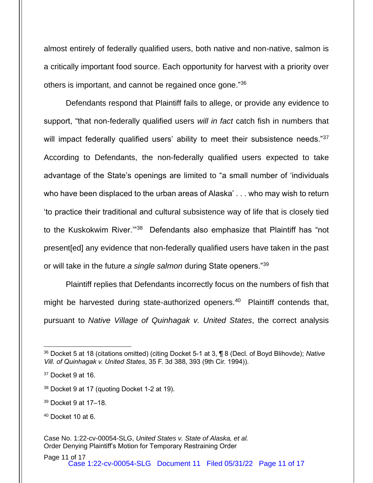almost entirely of federally qualified users, both native and non-native, salmon is a critically important food source. Each opportunity for harvest with a priority over others is important, and cannot be regained once gone."<sup>36</sup>

Defendants respond that Plaintiff fails to allege, or provide any evidence to support, "that non-federally qualified users *will in fact* catch fish in numbers that will impact federally qualified users' ability to meet their subsistence needs." $37$ According to Defendants, the non-federally qualified users expected to take advantage of the State's openings are limited to "a small number of 'individuals who have been displaced to the urban areas of Alaska' . . . who may wish to return 'to practice their traditional and cultural subsistence way of life that is closely tied to the Kuskokwim River.'"<sup>38</sup> Defendants also emphasize that Plaintiff has "not present[ed] any evidence that non-federally qualified users have taken in the past or will take in the future *a single salmon* during State openers."<sup>39</sup>

Plaintiff replies that Defendants incorrectly focus on the numbers of fish that might be harvested during state-authorized openers.<sup>40</sup> Plaintiff contends that, pursuant to *Native Village of Quinhagak v. United States*, the correct analysis

<sup>36</sup> Docket 5 at 18 (citations omitted) (citing Docket 5-1 at 3, ¶ 8 (Decl. of Boyd Blihovde); *Native Vill. of Quinhagak v. United States*, 35 F. 3d 388, 393 (9th Cir. 1994)).

 $37$  Docket 9 at 16.

<sup>38</sup> Docket 9 at 17 (quoting Docket 1-2 at 19).

<sup>39</sup> Docket 9 at 17–18.

 $40$  Docket 10 at 6.

Case No. 1:22-cv-00054-SLG, *United States v. State of Alaska, et al.* Order Denying Plaintiff's Motion for Temporary Restraining Order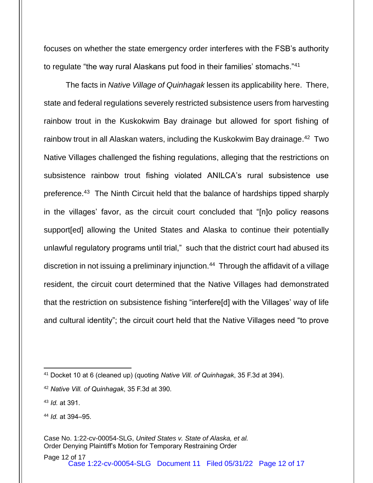focuses on whether the state emergency order interferes with the FSB's authority to regulate "the way rural Alaskans put food in their families' stomachs."<sup>41</sup>

The facts in *Native Village of Quinhagak* lessen its applicability here. There, state and federal regulations severely restricted subsistence users from harvesting rainbow trout in the Kuskokwim Bay drainage but allowed for sport fishing of rainbow trout in all Alaskan waters, including the Kuskokwim Bay drainage.<sup>42</sup> Two Native Villages challenged the fishing regulations, alleging that the restrictions on subsistence rainbow trout fishing violated ANILCA's rural subsistence use preference.<sup>43</sup> The Ninth Circuit held that the balance of hardships tipped sharply in the villages' favor, as the circuit court concluded that "[n]o policy reasons support[ed] allowing the United States and Alaska to continue their potentially unlawful regulatory programs until trial," such that the district court had abused its discretion in not issuing a preliminary injunction.<sup>44</sup> Through the affidavit of a village resident, the circuit court determined that the Native Villages had demonstrated that the restriction on subsistence fishing "interfere[d] with the Villages' way of life and cultural identity"; the circuit court held that the Native Villages need "to prove

<sup>43</sup> *Id.* at 391.

<sup>44</sup> *Id.* at 394–95.

<sup>41</sup> Docket 10 at 6 (cleaned up) (quoting *Native Vill. of Quinhagak*, 35 F.3d at 394).

<sup>42</sup> *Native Vill. of Quinhagak*, 35 F.3d at 390.

Case No. 1:22-cv-00054-SLG, *United States v. State of Alaska, et al.* Order Denying Plaintiff's Motion for Temporary Restraining Order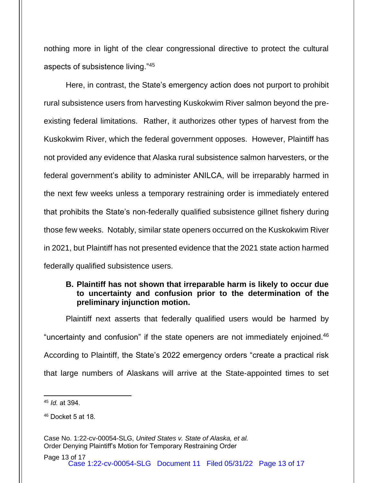nothing more in light of the clear congressional directive to protect the cultural aspects of subsistence living."<sup>45</sup>

Here, in contrast, the State's emergency action does not purport to prohibit rural subsistence users from harvesting Kuskokwim River salmon beyond the preexisting federal limitations. Rather, it authorizes other types of harvest from the Kuskokwim River, which the federal government opposes. However, Plaintiff has not provided any evidence that Alaska rural subsistence salmon harvesters, or the federal government's ability to administer ANILCA, will be irreparably harmed in the next few weeks unless a temporary restraining order is immediately entered that prohibits the State's non-federally qualified subsistence gillnet fishery during those few weeks. Notably, similar state openers occurred on the Kuskokwim River in 2021, but Plaintiff has not presented evidence that the 2021 state action harmed federally qualified subsistence users.

### **B. Plaintiff has not shown that irreparable harm is likely to occur due to uncertainty and confusion prior to the determination of the preliminary injunction motion.**

Plaintiff next asserts that federally qualified users would be harmed by "uncertainty and confusion" if the state openers are not immediately enjoined.<sup>46</sup> According to Plaintiff, the State's 2022 emergency orders "create a practical risk that large numbers of Alaskans will arrive at the State-appointed times to set

<sup>45</sup> *Id.* at 394.

 $46$  Docket 5 at 18.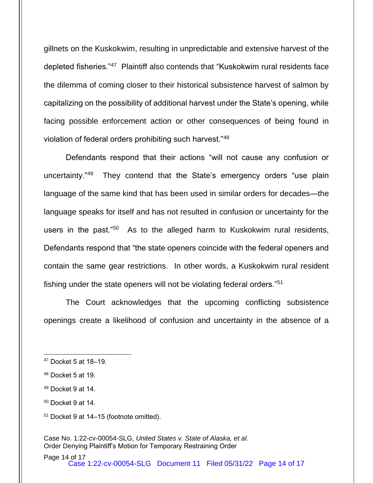gillnets on the Kuskokwim, resulting in unpredictable and extensive harvest of the depleted fisheries."<sup>47</sup> Plaintiff also contends that "Kuskokwim rural residents face the dilemma of coming closer to their historical subsistence harvest of salmon by capitalizing on the possibility of additional harvest under the State's opening, while facing possible enforcement action or other consequences of being found in violation of federal orders prohibiting such harvest."<sup>48</sup>

Defendants respond that their actions "will not cause any confusion or uncertainty."<sup>49</sup> They contend that the State's emergency orders "use plain language of the same kind that has been used in similar orders for decades—the language speaks for itself and has not resulted in confusion or uncertainty for the users in the past."<sup>50</sup> As to the alleged harm to Kuskokwim rural residents, Defendants respond that "the state openers coincide with the federal openers and contain the same gear restrictions. In other words, a Kuskokwim rural resident fishing under the state openers will not be violating federal orders."<sup>51</sup>

The Court acknowledges that the upcoming conflicting subsistence openings create a likelihood of confusion and uncertainty in the absence of a

<sup>51</sup> Docket 9 at 14–15 (footnote omitted).

<sup>47</sup> Docket 5 at 18–19.

<sup>48</sup> Docket 5 at 19.

 $49$  Docket 9 at 14.

 $50$  Docket 9 at 14.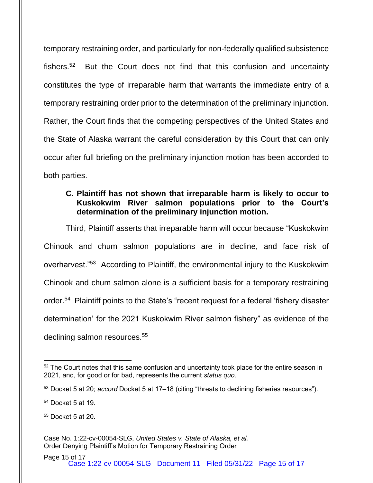temporary restraining order, and particularly for non-federally qualified subsistence fishers.<sup>52</sup> But the Court does not find that this confusion and uncertainty constitutes the type of irreparable harm that warrants the immediate entry of a temporary restraining order prior to the determination of the preliminary injunction. Rather, the Court finds that the competing perspectives of the United States and the State of Alaska warrant the careful consideration by this Court that can only occur after full briefing on the preliminary injunction motion has been accorded to both parties.

## **C. Plaintiff has not shown that irreparable harm is likely to occur to Kuskokwim River salmon populations prior to the Court's determination of the preliminary injunction motion.**

Third, Plaintiff asserts that irreparable harm will occur because "Kuskokwim Chinook and chum salmon populations are in decline, and face risk of overharvest."<sup>53</sup> According to Plaintiff, the environmental injury to the Kuskokwim Chinook and chum salmon alone is a sufficient basis for a temporary restraining order.<sup>54</sup> Plaintiff points to the State's "recent request for a federal 'fishery disaster determination' for the 2021 Kuskokwim River salmon fishery" as evidence of the declining salmon resources.<sup>55</sup>

 $52$  The Court notes that this same confusion and uncertainty took place for the entire season in 2021, and, for good or for bad, represents the current *status quo*.

<sup>53</sup> Docket 5 at 20; *accord* Docket 5 at 17–18 (citing "threats to declining fisheries resources").

<sup>54</sup> Docket 5 at 19.

 $55$  Docket 5 at 20.

Case No. 1:22-cv-00054-SLG, *United States v. State of Alaska, et al.* Order Denying Plaintiff's Motion for Temporary Restraining Order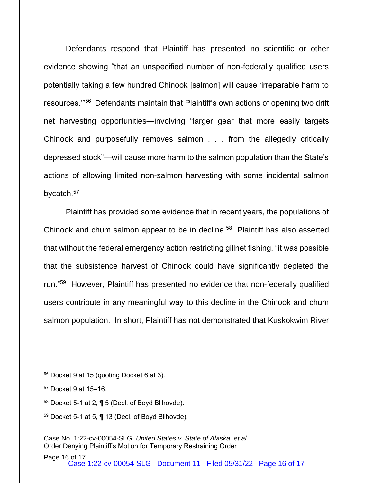Defendants respond that Plaintiff has presented no scientific or other evidence showing "that an unspecified number of non-federally qualified users potentially taking a few hundred Chinook [salmon] will cause 'irreparable harm to resources."<sup>56</sup> Defendants maintain that Plaintiff's own actions of opening two drift net harvesting opportunities—involving "larger gear that more easily targets Chinook and purposefully removes salmon . . . from the allegedly critically depressed stock"—will cause more harm to the salmon population than the State's actions of allowing limited non-salmon harvesting with some incidental salmon bycatch. 57

Plaintiff has provided some evidence that in recent years, the populations of Chinook and chum salmon appear to be in decline. <sup>58</sup> Plaintiff has also asserted that without the federal emergency action restricting gillnet fishing, "it was possible that the subsistence harvest of Chinook could have significantly depleted the run."<sup>59</sup> However, Plaintiff has presented no evidence that non-federally qualified users contribute in any meaningful way to this decline in the Chinook and chum salmon population. In short, Plaintiff has not demonstrated that Kuskokwim River

 $59$  Docket 5-1 at 5,  $\P$  13 (Decl. of Boyd Blihovde).

<sup>56</sup> Docket 9 at 15 (quoting Docket 6 at 3).

<sup>57</sup> Docket 9 at 15–16.

<sup>58</sup> Docket 5-1 at 2, ¶ 5 (Decl. of Boyd Blihovde).